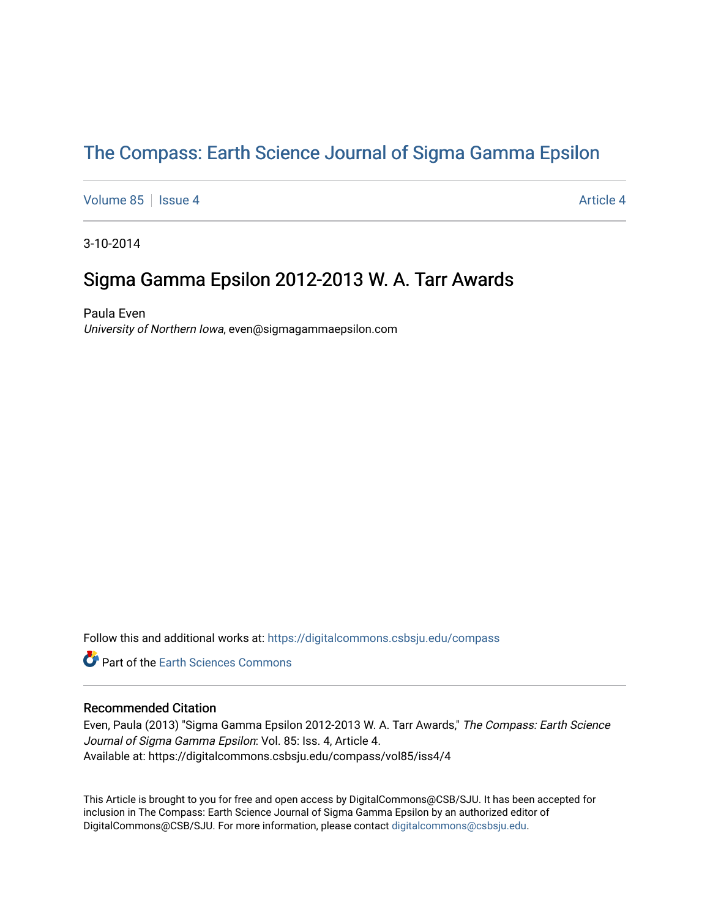# [The Compass: Earth Science Journal of Sigma Gamma Epsilon](https://digitalcommons.csbsju.edu/compass)

[Volume 85](https://digitalcommons.csbsju.edu/compass/vol85) | [Issue 4](https://digitalcommons.csbsju.edu/compass/vol85/iss4) Article 4

3-10-2014

# Sigma Gamma Epsilon 2012-2013 W. A. Tarr Awards

Paula Even University of Northern Iowa, even@sigmagammaepsilon.com

Follow this and additional works at: [https://digitalcommons.csbsju.edu/compass](https://digitalcommons.csbsju.edu/compass?utm_source=digitalcommons.csbsju.edu%2Fcompass%2Fvol85%2Fiss4%2F4&utm_medium=PDF&utm_campaign=PDFCoverPages)

**P** Part of the Earth Sciences Commons

#### Recommended Citation

Even, Paula (2013) "Sigma Gamma Epsilon 2012-2013 W. A. Tarr Awards," The Compass: Earth Science Journal of Sigma Gamma Epsilon: Vol. 85: Iss. 4, Article 4. Available at: https://digitalcommons.csbsju.edu/compass/vol85/iss4/4

This Article is brought to you for free and open access by DigitalCommons@CSB/SJU. It has been accepted for inclusion in The Compass: Earth Science Journal of Sigma Gamma Epsilon by an authorized editor of DigitalCommons@CSB/SJU. For more information, please contact [digitalcommons@csbsju.edu](mailto:digitalcommons@csbsju.edu).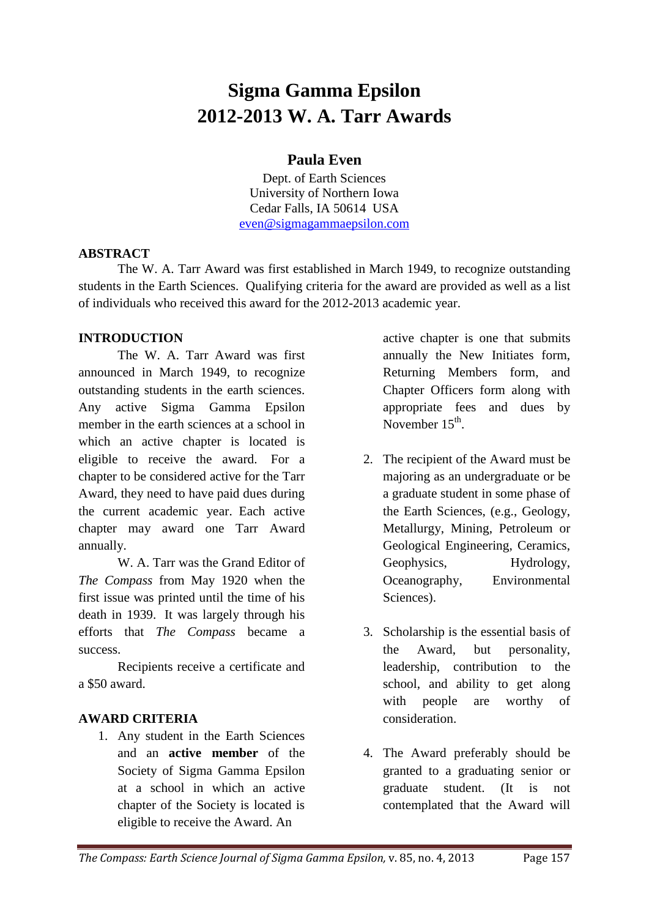# **Sigma Gamma Epsilon 2012-2013 W. A. Tarr Awards**

# **Paula Even**

Dept. of Earth Sciences University of Northern Iowa Cedar Falls, IA 50614 USA [even@sigmagammaepsilon.com](mailto:even@sigmagammaepsilon.com)

### **ABSTRACT**

The W. A. Tarr Award was first established in March 1949, to recognize outstanding students in the Earth Sciences. Qualifying criteria for the award are provided as well as a list of individuals who received this award for the 2012-2013 academic year.

## **INTRODUCTION**

The W. A. Tarr Award was first announced in March 1949, to recognize outstanding students in the earth sciences. Any active Sigma Gamma Epsilon member in the earth sciences at a school in which an active chapter is located is eligible to receive the award. For a chapter to be considered active for the Tarr Award, they need to have paid dues during the current academic year. Each active chapter may award one Tarr Award annually.

W. A. Tarr was the Grand Editor of *The Compass* from May 1920 when the first issue was printed until the time of his death in 1939. It was largely through his efforts that *The Compass* became a success.

Recipients receive a certificate and a \$50 award.

## **AWARD CRITERIA**

1. Any student in the Earth Sciences and an **active member** of the Society of Sigma Gamma Epsilon at a school in which an active chapter of the Society is located is eligible to receive the Award. An

active chapter is one that submits annually the New Initiates form, Returning Members form, and Chapter Officers form along with appropriate fees and dues by November 15<sup>th</sup>.

- 2. The recipient of the Award must be majoring as an undergraduate or be a graduate student in some phase of the Earth Sciences, (e.g., Geology, Metallurgy, Mining, Petroleum or Geological Engineering, Ceramics, Geophysics, Hydrology, Oceanography, Environmental Sciences).
- 3. Scholarship is the essential basis of the Award, but personality, leadership, contribution to the school, and ability to get along with people are worthy of consideration.
- 4. The Award preferably should be granted to a graduating senior or graduate student. (It is not contemplated that the Award will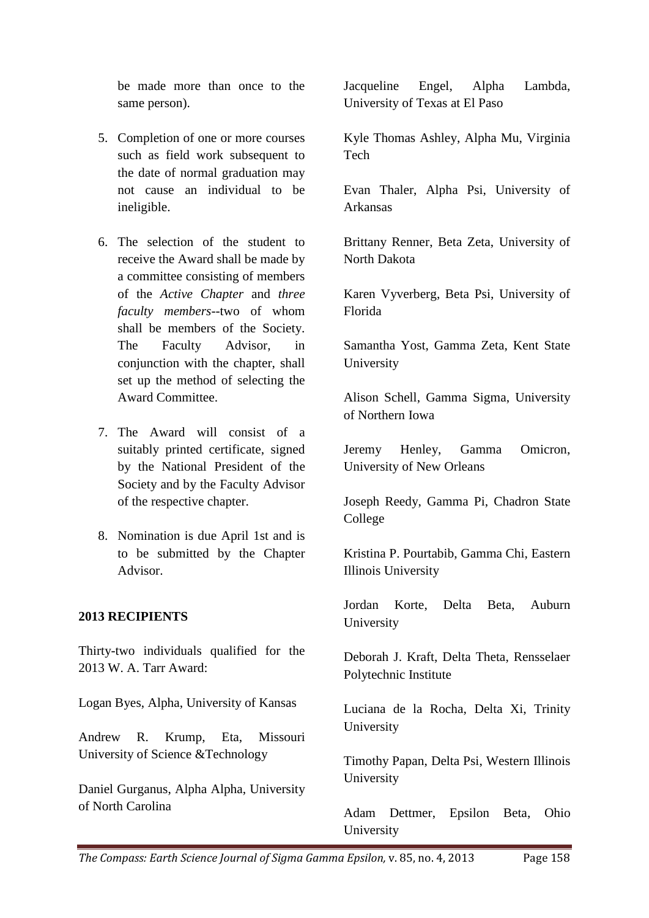be made more than once to the same person).

- 5. Completion of one or more courses such as field work subsequent to the date of normal graduation may not cause an individual to be ineligible.
- 6. The selection of the student to receive the Award shall be made by a committee consisting of members of the *Active Chapter* and *three faculty members*--two of whom shall be members of the Society. The Faculty Advisor, in conjunction with the chapter, shall set up the method of selecting the Award Committee.
- 7. The Award will consist of a suitably printed certificate, signed by the National President of the Society and by the Faculty Advisor of the respective chapter.
- 8. Nomination is due April 1st and is to be submitted by the Chapter Advisor.

#### **2013 RECIPIENTS**

Thirty-two individuals qualified for the 2013 W. A. Tarr Award:

Logan Byes, Alpha, University of Kansas

Andrew R. Krump, Eta, Missouri University of Science &Technology

Daniel Gurganus, Alpha Alpha, University of North Carolina

Jacqueline Engel, Alpha Lambda, University of Texas at El Paso

Kyle Thomas Ashley, Alpha Mu, Virginia Tech

Evan Thaler, Alpha Psi, University of Arkansas

Brittany Renner, Beta Zeta, University of North Dakota

Karen Vyverberg, Beta Psi, University of Florida

Samantha Yost, Gamma Zeta, Kent State University

Alison Schell, Gamma Sigma, University of Northern Iowa

Jeremy Henley, Gamma Omicron, University of New Orleans

Joseph Reedy, Gamma Pi, Chadron State College

Kristina P. Pourtabib, Gamma Chi, Eastern Illinois University

Jordan Korte, Delta Beta, Auburn University

Deborah J. Kraft, Delta Theta, Rensselaer Polytechnic Institute

Luciana de la Rocha, Delta Xi, Trinity University

Timothy Papan, Delta Psi, Western Illinois University

Adam Dettmer, Epsilon Beta, Ohio University